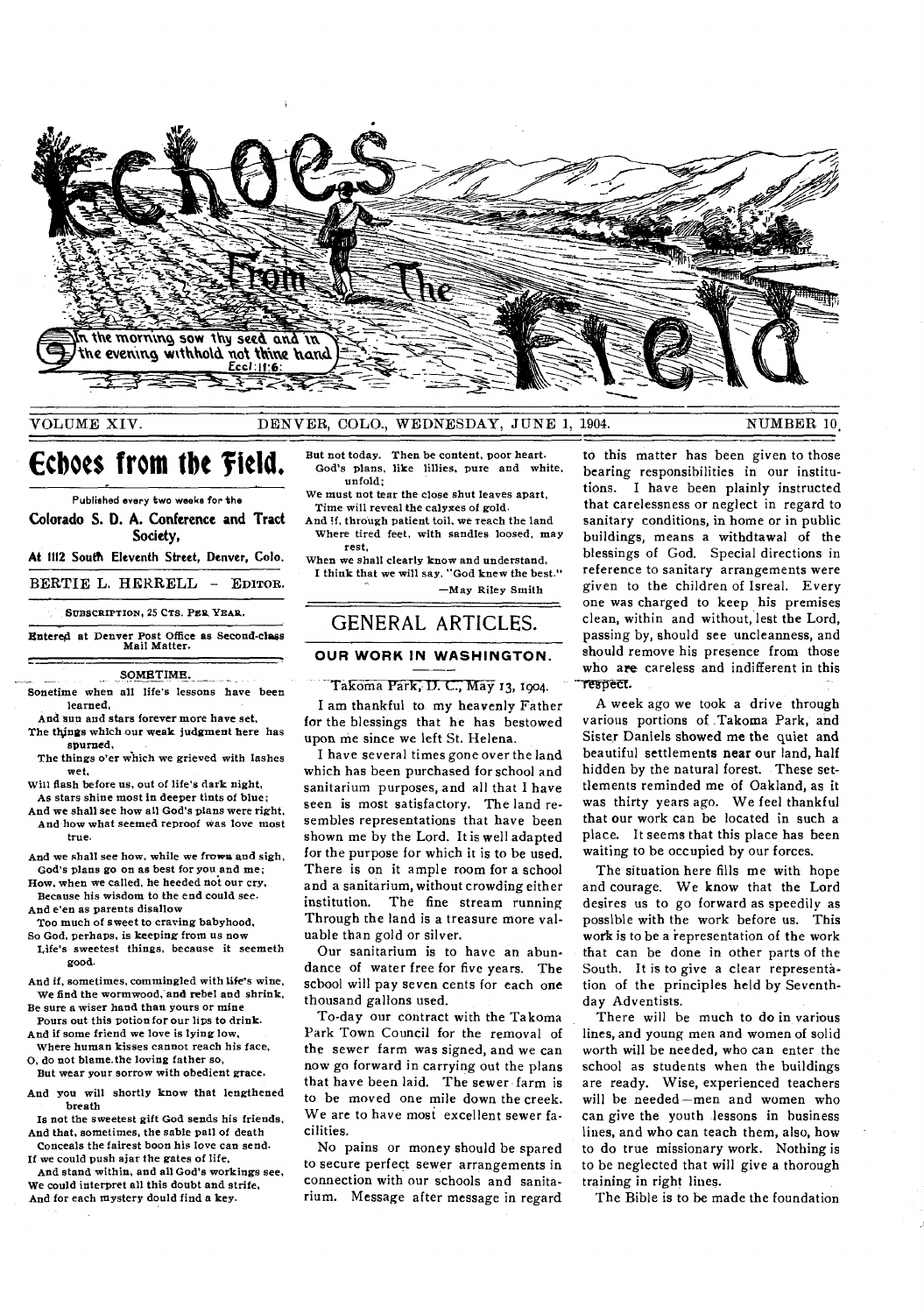

#### VOLUME XIV. DENVER, COLO., WEDNESDAY, JUNE 1, 1904. NUMBER 10,

## **Ecboes from the 'field.**

Published *every* two weeks for the

Colorado S. **D. A.** Conference and Tract Society,

**At 1112 South Eleventh Street, Denver, Colo.** 

BERTIE L. HERRELL — EDITOR.

. SUBSCRIPTION, 25 CTS. **PER YEAR.** 

Entered at Denver Post Office as Second-class Mail Matter.

SOMETIME.

Sonetime when all life's lessons have been learned,

And sun and stars forever more have set, The things which our weak judgment here has

spurned, The things o'er which we grieved with lashes wet,

Will flash before us, out of life's dark night,

- As stars shine most in deeper tints of blue; And we shall see how all God's plans were right, And how what seemed reproof was love most
- And we shall see how, while we frown and sigh, God's plans go on as best for you and me;
- How, when we called, he heeded not our cry, Because his wisdom to the end could *see.*  And e'en as parents disallow
- Too much of sweet to craving babyhood,

true.

- So God, perhaps, is keeping from us now Life's sweetest things, because it seemeth good.
- And if, sometimes, commingled with life's wine, We find the wormwood, and rebel and shrink, Be sure a wiser hand than yours or mine
- Pours out this potion for our lips to drink. And if some friend we love is lying low,

Where human kisses cannot reach his face, 0, do not blame. the loving father so,

But wear your sorrow with obedient grace.

And you will shortly know that lengthened breath

Is not the sweetest gift God sends his friends, And that, sometimes, the sable pall of death Conceals the fairest boon his love can send.

If we could push ajar the gates of life, And stand within, and all God's workings see,

We could interpret all this doubt and strife, And for each mystery dould find a key.

But not today. Then be content, poor heart. God's plans, like lillies, pure and white, unfold;

We must not tear the close shut leaves apart, Time will reveal the calyxes of gold.

And If, through patient toil, we reach the land Where tired feet, with sandles loosed, may rest,

When we shall clearly know and understand, I think that we will say, "God knew the best." —May Riley Smith

#### GENERAL ARTICLES.

# **OUR WORK IN WASHINGTON.**<br>
Takoma Park II ( May 12 Jour)

#### Takoma Park, D. C., May 13, 1904.

I am thankful to my heavenly Father for the blessings that he has bestowed upon me since we left St. Helena.

I have several times gone over the land which has been purchased for school and sanitarium purposes, and all that I have seen is most satisfactory. The land resembles representations that have been shown me by the Lord. It is well adapted for the purpose for which it is to be used. There is on it ample room for a school and a sanitarium, without crowding either institution. The fine stream running Through the land is a treasure more valuable than gold or silver.

Our sanitarium is to have an abundance of water free for five years. The scbool will pay seven cents for each one thousand gallons used.

To-day our contract with the Takoma Park Town Council for the removal of the sewer farm was signed, and we can now go forward in carrying out the plans that have been laid. The sewer farm is to be moved one mile down the creek. We are to have most excellent sewer facilities.

No pains or money should be spared to secure perfect sewer arrangements in connection with our schools and sanitarium. Message after message in regard

to this matter has been given to those bearing responsibilities in our institutions. I have been plainly instructed that carelessness or neglect in regard to sanitary conditions, in home or in public buildings, means a withdtawal of the blessings of God. Special directions in reference to sanitary arrangements were given to the children of Isreal. Every one was charged to keep his premises clean, within and without, lest the Lord, passing by, should see uncleanness, and should remove his presence from those who are careless and indifferent in this<br>respect.

A week ago we took a drive through various portions of Takoma Park, **and**  Sister Daniels **showed me the quiet** and beautiful settlements near our land, half hidden by the natural forest. These settlements reminded me of Oakland, as it was thirty years ago. We feel thankful that our work can be located in such a place. It seems that this place has been waiting to be occupied by our forces.

The situation here fills me with hope and courage. We know that the Lord desires us to go forward as speedily as possible with the work before us. This work is to be a representation of the work that can be done in other parts of the South. It is to give a clear representation of the principles held by Seventhday Adventists.

There will be much to do in various lines, and young men and women of solid worth will be needed, who can enter the school as students when the buildings are ready. Wise, experienced teachers will be needed—men and women who can give the youth lessons in business lines, and who can teach them, also, how to do true missionary work. Nothing is to be neglected that will give a thorough training in right lines.

The Bible is to be made the foundation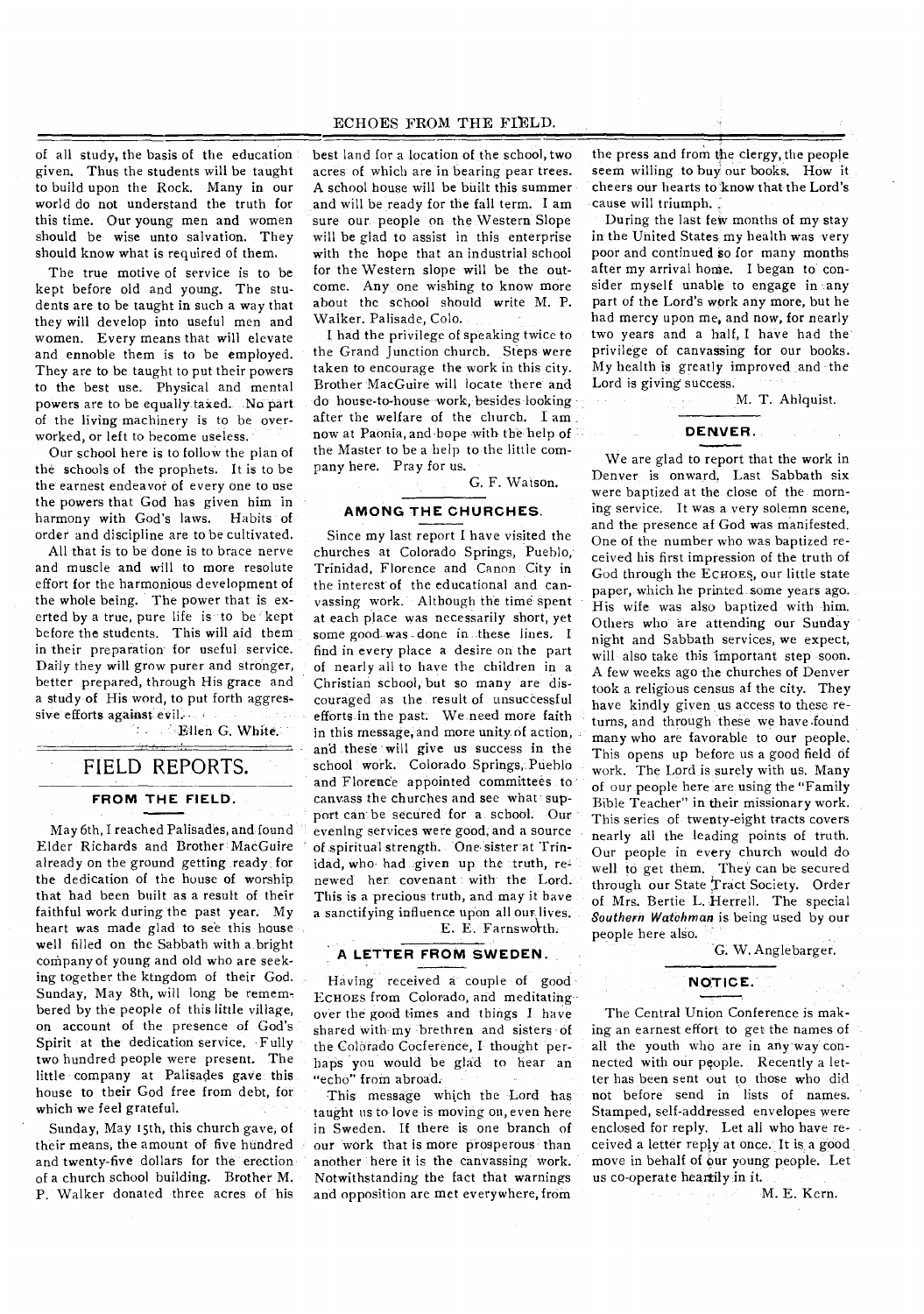of all study, the basis of the education given. Thus the students will be taught to build upon the Rock. Many in our world do not understand the truth for this time. Our young men and women should be wise unto salvation. They should know what is required of them.

The true motive of service is to be kept before old and young. The students are to be taught in such a way that they will develop into useful men and women. Every means that will elevate and ennoble them is to be employed. They are to be taught to put their powers to the best use. Physical and mental powers are to be equally taxed. No part of the living machinery is to be overworked, or left to become useless.

Our school here is to follow the plan of the schools of the prophets. It is to be the earnest endeavor of every one to use the powers that God has given him in harmony with God's laws. Habits of order and discipline are to be cultivated.

All that is to be done is to brace nerve and muscle and will to more resolute effort for the harmonious development of the whole being. The power that is exerted by a true, pure life is to be kept before the students. This will aid them in their preparation for useful service. Daily they will grow purer and stronger, better prepared, through His grace and a study of His word, to put forth aggressive efforts against evil.

Ellen G. White.

#### FIELD REPORTS.

#### **FROM THE FIELD.**

May 6th, 'I reached Palisades, and found Elder Richards and Brother MacGuire already on the ground getting .ready for the dedication of the house of worship that had been built as a result of their faithful work during the past year. My heart was made glad to see this house well filled on the Sabbath with a bright company of young and old who are seeking together the ktngdom of their God. Sunday, May 8th, will long be remembered by the people of this little village, on account of the presence of God's Spirit at the dedication service. Fully two hundred people were present. The little company at Palisades gave this house to their God free from debt, for which we feel grateful.

Sunday, May 15th, this church gave, of their means, the amount of five hundred and twenty-five dollars for the erection of a church school building. Brother M. P. Walker donated three acres of his

best land for a location of the school, two acres of which are in bearing pear trees. A school house will be built this summer and will be ready for the fall term. I am sure our people on the Western Slope will be glad to assist in this enterprise with the hope that an industrial school for the Western slope will be the outcome. Any, one wishing to know more about the school should write M. P. Walker. Palisade, Colo.

I had the privilege of speaking twice to the Grand Junction church. Steps were taken to encourage the work in this city. Brother MacGuire will locate there and do house-to-house work, besides looking after the welfare of the church. I am. now at Paonia, and hope with the help of the Master to be a help to the little company here. Pray for us.

G. F. Watson.

#### **AMONG THE CHURCHES.**

Since my last report I have visited the churches at Colorado Springs, Pueblo, Trinidad, Florence and Canon City in the interest of the educational and canvassing work. Although the time spent at each place was necessarily short, yet some good was done in these lines, I find in every place a desire on the part of nearly all to have the children in a Christian school, but so many are discouraged as the result of unsuccessful efforts in the past. We need more faith in this message, and more unity of action, and these will give us success in the school work. Colorado Springs, Pueblo and Florence appointed committees to canvass the churches and see what support can be secured for a school. Our evening services were good, and a source of spiritual strength. One sister at 'Trinidad, who had given up the truth, renewed her covenant with the Lord. This is a precious truth, and may it have a sanctifying influence upon all our. lives.

### E. E. Farnsworth.

#### **A LETTER FROM SWEDEN.**

Having received a couple of good-ECHOES from Colorado, and meditatingover the good times and things I have shared with my brethren and sisters of the Colorado Cocference, I- thought perhaps you would be glad to hear an "echo" from abroad.

This message which the Lord has taught us to love is moving on, even here in Sweden. If there is one branch of our work that is more prosperous than another here it is the canvassing work. Notwithstanding the fact that warnings and opposition are met everywhere, from

the press and from the clergy, the people seem willing to buy our books. How it cheers our hearts to`know that the Lord's cause will triumph.

During the last few months of my stay in the United States, my health was very poor and continued so for many months after my arrival home. I began to consider myself unable to engage in any part of the Lord's work any more, but he had mercy upon me, and now, for nearly two years and a half, I have had the privilege of canvassing for our books. My health is greatly improved and the Lord is giving success.

M. T. Ablquist.

#### **DENVER.**

We are glad to report that the work in Denver is onward. Last Sabbath six were baptized at the close of the morning service. It was a very solemn scene, and the presence af God was manifested. One of the number who was baptized received his first impression of the truth of God through the ECHOES, our little state paper, which he printed some years ago. His wife was also baptized with him. Others who are attending our Sunday night and Sabbath services, we expect, will also take this important step soon. A few weeks ago the churches of Denver took a religious census af the city. They have kindly given us access to these returns, and through these we have.found many who are favorable to our people. This opens up before us a good field of work. The Lord is surely with us. Many of our people here are using the "Family Bible Teacher" in their missionary work. This series of twenty-eight tracts covers nearly all the leading points of truth. Our people in every church would do well to get them. They can be secured through our State Tract Society. Order of Mrs. Bertie L. Herrell. The special *Southern Watchman* is being used by our people here also.

G. W. Anglebarger.

#### **NOTICE.**

The Central Union Conference is making an earnest effort to get the names of all the youth who are in any way connected with our people. Recently a letter has been sent out to those who did not before send in lists of names. Stamped, self-addressed envelopes were enclosed for reply. Let all who have-received a letter reply at once. It is a good move in behalf of our young people. Let us co-operate heartily in it.

M. E. Kern.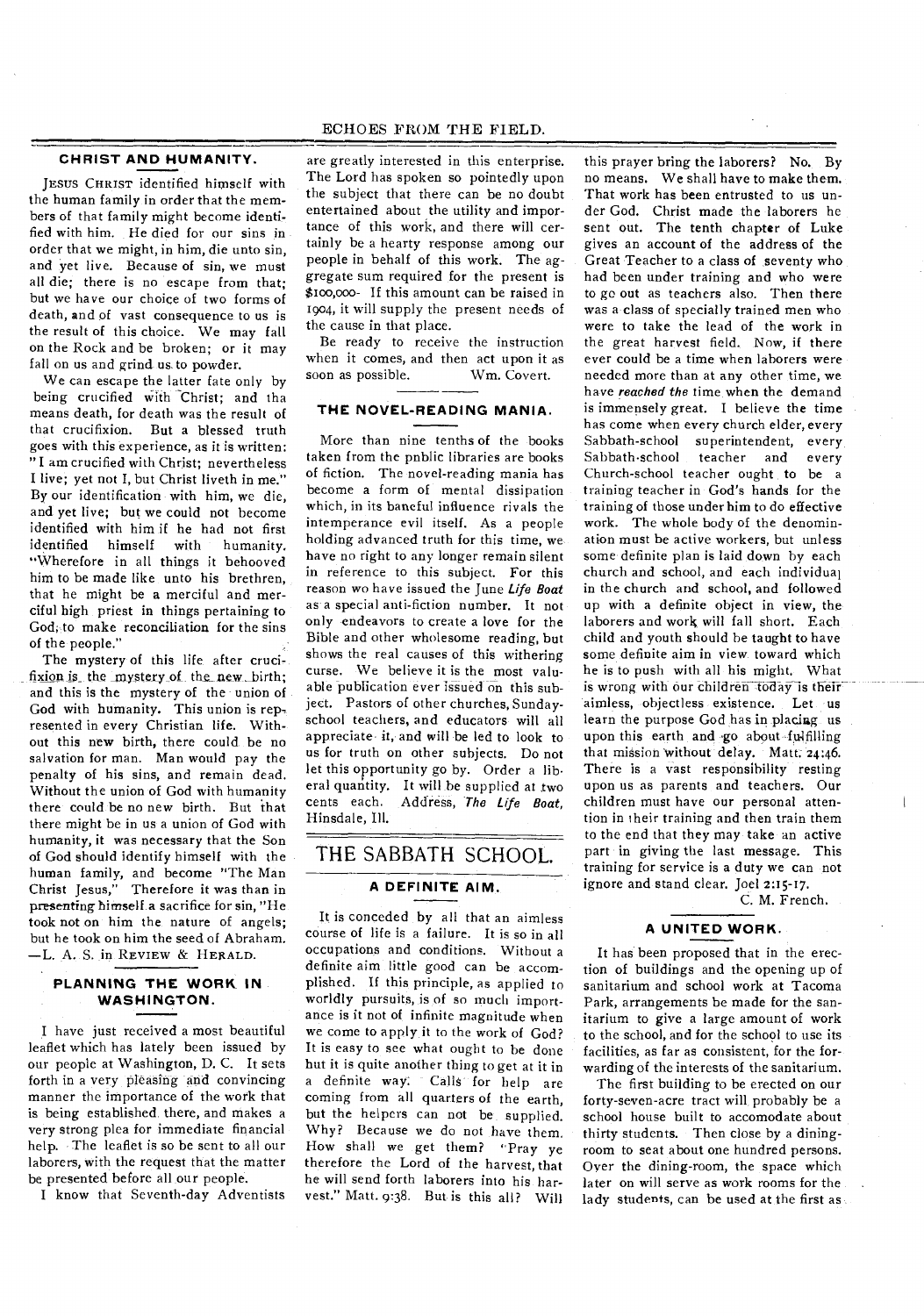#### **CHRIST AND HUMANITY.**

JESUS CHRIST identified himself with the human family in order that the members of that family might become identified with him. He died for our sins in order that we might, in him, die unto sin, and yet live. Because of sin, we must all die; there is no escape from that; but we have our choice of two forms of death, and of vast consequence to us is the result of this choice. We may fall on the Rock and be broken; or it may fall on us and grind us to powder.

We can escape the latter fate only by being crucified with Christ; and tha means death, for death was the result of that crucifixion. But a blessed truth goes with this experience, as it is written: "I am crucified with Christ; nevertheless I live; yet not I, but Christ liveth in me." By our identification with him, we die, and yet live; but we could not become identified with him if he had not first<br>identified himself with humanity. himself with humanity. "Wherefore in all things it behooved him to be made like unto his brethren, that he might be a merciful and merciful high priest in things pertaining to God, to make reconciliation for the sins of the people."

The mystery of this life after crucifixion is the mystery of the new birth; and this is the mystery of the union of God with humanity. This union is rep resented in every Christian life. Without this new birth, there could be no salvation for man. Man would pay the penalty of his sins, and remain dead. Without the union of God with humanity there could be no new birth. But that there might be in us a union of God with humanity, it was necessary that the Son of God should identify himself with the human family, and become "The Man Christ Jesus," Therefore it was than in presenting himself a sacrifice for sin, "He took not on him the nature of angels; but he took on him the seed of Abraham. —L. A. S. in REVIEW & HERALD.

#### **PLANNING THE WORK IN WASHINGTON.**

I have just received a most beautiful leaflet which has lately been issued by our people at Washington, D. C. It sets forth in a very pleasing and convincing manner the importance of the work that is being established there, and makes a very strong plea for immediate financial help. The leaflet is so be sent to all our laborers, with the request that the matter be presented before all our people.

I know that Seventh-day Adventists

#### ECHOES FROM THE FIELD.

are greatly interested in this enterprise. The Lord has spoken so pointedly upon the subject that there can be no doubt entertained about the utility and importance of this work, and there will certainly be a hearty response among our people in behalf of this work. The aggregate sum required for the present is \$too,000- If this amount can be raised in 1904, it will supply the present needs of the cause in that place.

Be ready to receive the instruction when it comes, and then act upon it as<br>soon as possible. Wm. Covert. soon as possible.

#### **THE NOVEL-READING MANIA.**

More than nine tenths of the books taken from the pnblic libraries are books of fiction. The novel-reading mania has become a form of mental dissipation which, in its baneful influence rivals the intemperance evil itself. As a people holding advanced truth for this time, we have no right to any longer remain silent in reference to this subject. For this reason wo have issued the June Life Boat as a special anti-fiction number. It not only endeavors to create a love for the Bible and other wholesome reading, but shows the real causes of this withering curse. We believe it is the most valuable publication ever issued on this subject. Pastors of other churches, Sundayschool teachers, and educators will all appreciate it, and will be led to look to us for truth on other subjects. Do not let this opportunity go by. Order a liberal quantity. It will he supplied at two cents each. Address, The Life Boat, Hinsdale, Ill.

## THE SABBATH SCHOOL. **A DEFINITE AIM.**

It is conceded by all that an aimless course of life is a failure. It is so in all occupations and conditions. Without a definite aim little good can be accomplished. If this principle, as applied to worldly pursuits, is of so much importance is it not of infinite magnitude when we come to apply it to the work of God? It is easy to see what ought to he done but it is quite another thing to get at it in a definite way: Calls for help are coming from all quarters of the earth, but the helpers can not be supplied. Why? Because we do not have them. How shall we get them? "Pray ye therefore the Lord of the harvest, that he will send forth laborers into his harvest." Matt. 9:38. But is this all? Will

this prayer bring the laborers? No. By no means. We shall have to make them. That work has been entrusted to us under God. Christ made the laborers he sent out. The tenth chapter of Luke gives an account of the address of the Great Teacher to a class of seventy who had been under training and who were to go out as teachers also. Then there was a class of specially trained men who were to take the lead of the work in the great harvest field. Now, if there ever could be a time when laborers were needed more than at any other time, we have reached the time when the demand is immensely great. I believe the time has come when every church elder, every Sabbath-school superintendent, every Sabbath-school teacher and every Church-school teacher ought to be a training teacher in God's hands for the training of those under him to do effective work. The whole body of the denomination must be active workers, but unless some definite plan is laid down by each church and school, and each individual in the church and school, and followed up with a definite object in view, the laborers and work will fall short. Each child and youth should he taught to have some definite aim in view toward which he is to push with all his might. What is wrong with our children today is their aimless, objectless existence. Let us learn the purpose God has in placiag us upon this earth and go about fulfilling that mission without delay. Matt: 24:46. There is a vast responsibility resting upon us as parents and teachers. Our children must have our personal attention in their training and then train them to the end that they may take an active part in giving the last message. This training for service is a duty we can not ignore and stand clear. Joel 2:15-17.

C. M. French.

 $\mathfrak{t}$ 

#### **A UNITED WORK.**

It has been proposed that in the erection of buildings and the opening up of sanitarium and school work at Tacoma Park, arrangements be made for the sanitarium to give a large amount of work to the school, and for the school to use its facilities, as far as consistent, for the forwarding of the interests of the sanitarium.

The first building to be erected on our forty-seven-acre tract will probably be a school house built to accomodate about thirty students. Then close by a diningroom to seat about one hundred persons. Over the dining-room, the space which later on will serve as work rooms for the lady students, can be used at the first as.